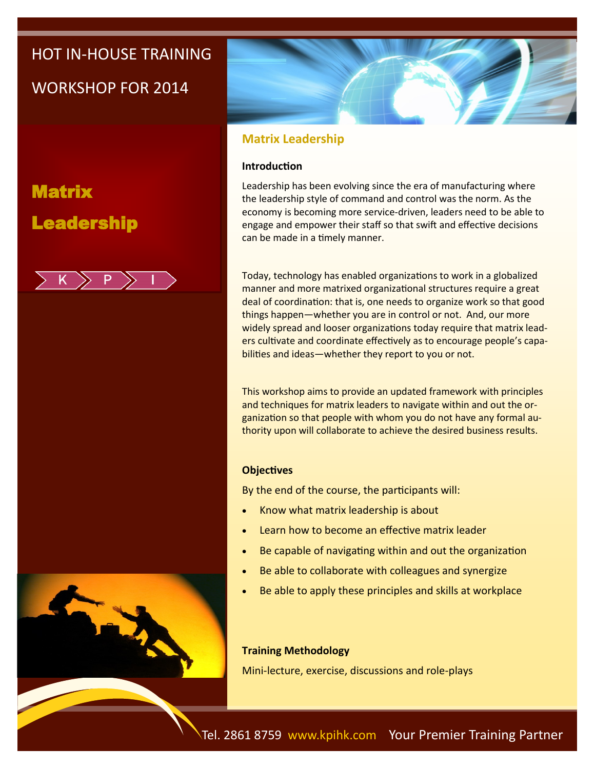# HOT IN-HOUSE TRAINING

## WORKSHOP FOR 2014

**Matrix** Leadership







### **Matrix Leadership**

### **Introduction**

Leadership has been evolving since the era of manufacturing where the leadership style of command and control was the norm. As the economy is becoming more service-driven, leaders need to be able to engage and empower their staff so that swift and effective decisions can be made in a timely manner.

Today, technology has enabled organizations to work in a globalized manner and more matrixed organizational structures require a great deal of coordination: that is, one needs to organize work so that good things happen—whether you are in control or not. And, our more widely spread and looser organizations today require that matrix leaders cultivate and coordinate effectively as to encourage people's capabilities and ideas—whether they report to you or not.

This workshop aims to provide an updated framework with principles and techniques for matrix leaders to navigate within and out the organization so that people with whom you do not have any formal authority upon will collaborate to achieve the desired business results.

### **Objectives**

By the end of the course, the participants will:

- Know what matrix leadership is about
- Learn how to become an effective matrix leader
- Be capable of navigating within and out the organization
- Be able to collaborate with colleagues and synergize
- Be able to apply these principles and skills at workplace

### **Training Methodology**

Mini-lecture, exercise, discussions and role-plays